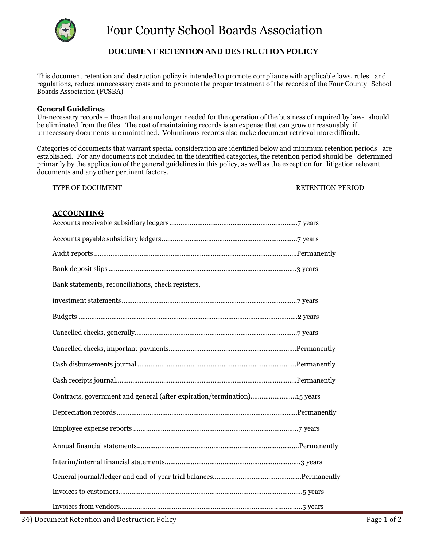

# **DOCUMENT RETENTION AND DESTRUCTION POLICY**

This document retention and destruction policy is intended to promote compliance with applicable laws, rules and regulations, reduce unnecessary costs and to promote the proper treatment of the records of the Four County School Boards Association (FCSBA)

## **General Guidelines**

Un-necessary records – those that are no longer needed for the operation of the business of required by law- should be eliminated from the files. The cost of maintaining records is an expense that can grow unreasonably if unnecessary documents are maintained. Voluminous records also make document retrieval more difficult.

Categories of documents that warrant special consideration are identified below and minimum retention periods are established. For any documents not included in the identified categories, the retention period should be determined primarily by the application of the general guidelines in this policy, as well as the exception for litigation relevant documents and any other pertinent factors.

#### TYPE OF DOCUMENT TYPE OF DOCUMENT

## **ACCOUNTING**

| Bank statements, reconciliations, check registers,                       |
|--------------------------------------------------------------------------|
|                                                                          |
|                                                                          |
|                                                                          |
|                                                                          |
|                                                                          |
|                                                                          |
| Contracts, government and general (after expiration/termination)15 years |
|                                                                          |
|                                                                          |
|                                                                          |
|                                                                          |
|                                                                          |
|                                                                          |
|                                                                          |